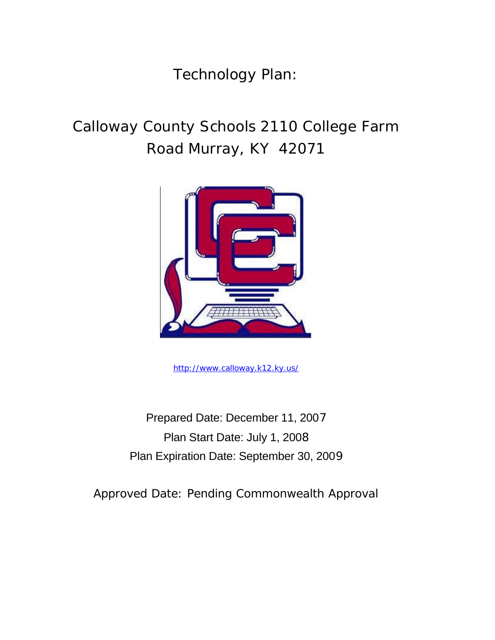Technology Plan:

# Calloway County Schools 2110 College Farm Road Murray, KY 42071



http://www.calloway.k12.ky.us/

Prepared Date: December 11, 2007 Plan Start Date: July 1, 2008 Plan Expiration Date: September 30, 2009

Approved Date: Pending Commonwealth Approval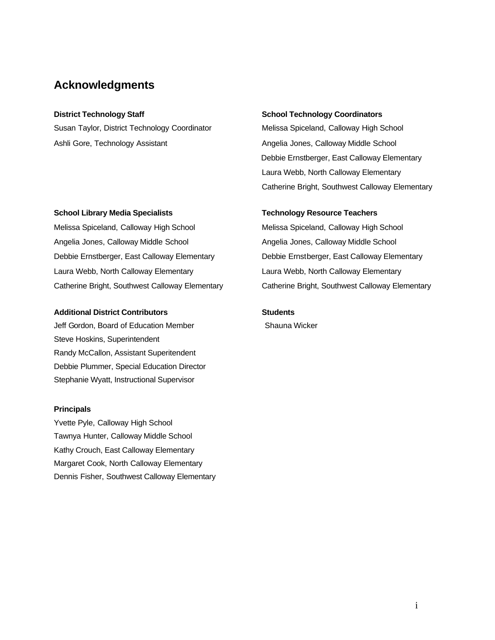#### **Acknowledgments**

Susan Taylor, District Technology Coordinator Melissa Spiceland, Calloway High School Ashli Gore, Technology Assistant Angelia Jones, Calloway Middle School

#### **School Library Media Specialists Technology Resource Teachers**

Melissa Spiceland, Calloway High School Melissa Spiceland, Calloway High School Angelia Jones, Calloway Middle School **Angelia Jones, Calloway Middle School** Angelia Jones, Calloway Middle School Debbie Ernstberger, East Calloway Elementary Debbie Ernstberger, East Calloway Elementary Laura Webb, North Calloway Elementary Laura Webb, North Calloway Elementary Catherine Bright, Southwest Calloway Elementary Catherine Bright, Southwest Calloway Elementary

#### Additional District Contributors **National Students**

Jeff Gordon, Board of Education Member Shauna Wicker Steve Hoskins, Superintendent Randy McCallon, Assistant Superitendent Debbie Plummer, Special Education Director Stephanie Wyatt, Instructional Supervisor

#### **Principals**

Yvette Pyle, Calloway High School Tawnya Hunter, Calloway Middle School Kathy Crouch, East Calloway Elementary Margaret Cook, North Calloway Elementary Dennis Fisher, Southwest Calloway Elementary

#### **District Technology Staff School Technology Coordinators and School Technology Coordinators**

Debbie Ernstberger, East Calloway Elementary Laura Webb, North Calloway Elementary Catherine Bright, Southwest Calloway Elementary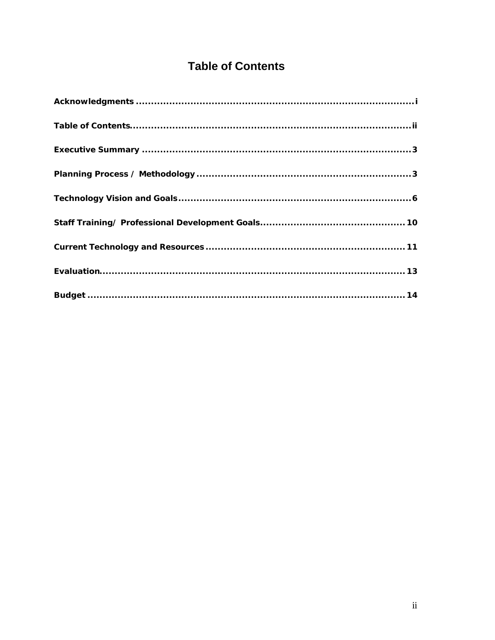## **Table of Contents**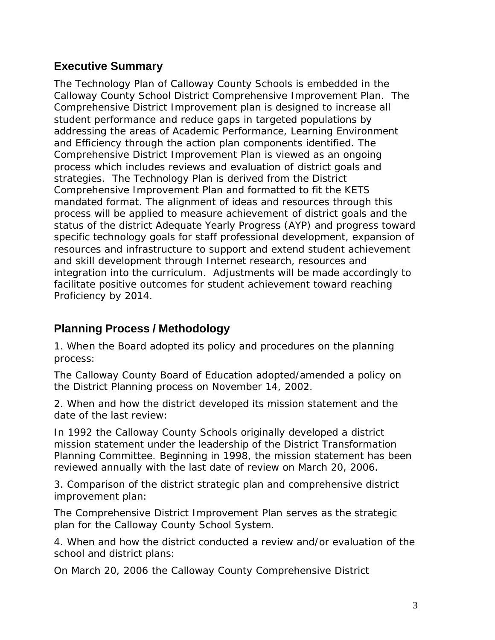### **Executive Summary**

The Technology Plan of Calloway County Schools is embedded in the Calloway County School District Comprehensive Improvement Plan. The Comprehensive District Improvement plan is designed to increase all student performance and reduce gaps in targeted populations by addressing the areas of Academic Performance, Learning Environment and Efficiency through the action plan components identified. The Comprehensive District Improvement Plan is viewed as an ongoing process which includes reviews and evaluation of district goals and strategies. The Technology Plan is derived from the District Comprehensive Improvement Plan and formatted to fit the KETS mandated format. The alignment of ideas and resources through this process will be applied to measure achievement of district goals and the status of the district Adequate Yearly Progress (AYP) and progress toward specific technology goals for staff professional development, expansion of resources and infrastructure to support and extend student achievement and skill development through Internet research, resources and integration into the curriculum. Adjustments will be made accordingly to facilitate positive outcomes for student achievement toward reaching Proficiency by 2014.

### **Planning Process / Methodology**

1. When the Board adopted its policy and procedures on the planning process:

The Calloway County Board of Education adopted/amended a policy on the District Planning process on November 14, 2002.

2. When and how the district developed its mission statement and the date of the last review:

In 1992 the Calloway County Schools originally developed a district mission statement under the leadership of the District Transformation Planning Committee. Beginning in 1998, the mission statement has been reviewed annually with the last date of review on March 20, 2006.

3. Comparison of the district strategic plan and comprehensive district improvement plan:

The Comprehensive District Improvement Plan serves as the strategic plan for the Calloway County School System.

4. When and how the district conducted a review and/or evaluation of the school and district plans:

On March 20, 2006 the Calloway County Comprehensive District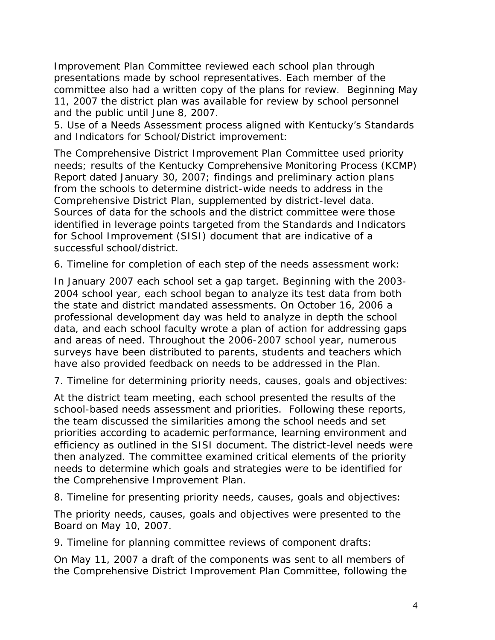Improvement Plan Committee reviewed each school plan through presentations made by school representatives. Each member of the committee also had a written copy of the plans for review. Beginning May 11, 2007 the district plan was available for review by school personnel and the public until June 8, 2007.

5. Use of a Needs Assessment process aligned with Kentucky's Standards and Indicators for School/District improvement:

The Comprehensive District Improvement Plan Committee used priority needs; results of the Kentucky Comprehensive Monitoring Process (KCMP) Report dated January 30, 2007; findings and preliminary action plans from the schools to determine district-wide needs to address in the Comprehensive District Plan, supplemented by district-level data. Sources of data for the schools and the district committee were those identified in leverage points targeted from the Standards and Indicators for School Improvement (SISI) document that are indicative of a successful school/district.

6. Timeline for completion of each step of the needs assessment work:

In January 2007 each school set a gap target. Beginning with the 2003- 2004 school year, each school began to analyze its test data from both the state and district mandated assessments. On October 16, 2006 a professional development day was held to analyze in depth the school data, and each school faculty wrote a plan of action for addressing gaps and areas of need. Throughout the 2006-2007 school year, numerous surveys have been distributed to parents, students and teachers which have also provided feedback on needs to be addressed in the Plan.

7. Timeline for determining priority needs, causes, goals and objectives:

At the district team meeting, each school presented the results of the school-based needs assessment and priorities. Following these reports, the team discussed the similarities among the school needs and set priorities according to academic performance, learning environment and efficiency as outlined in the SISI document. The district-level needs were then analyzed. The committee examined critical elements of the priority needs to determine which goals and strategies were to be identified for the Comprehensive Improvement Plan.

8. Timeline for presenting priority needs, causes, goals and objectives:

The priority needs, causes, goals and objectives were presented to the Board on May 10, 2007.

9. Timeline for planning committee reviews of component drafts:

On May 11, 2007 a draft of the components was sent to all members of the Comprehensive District Improvement Plan Committee, following the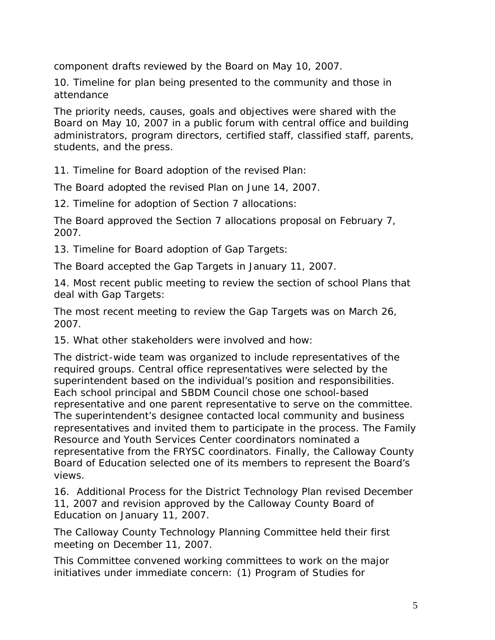component drafts reviewed by the Board on May 10, 2007.

10. Timeline for plan being presented to the community and those in attendance

The priority needs, causes, goals and objectives were shared with the Board on May 10, 2007 in a public forum with central office and building administrators, program directors, certified staff, classified staff, parents, students, and the press.

11. Timeline for Board adoption of the revised Plan:

The Board adopted the revised Plan on June 14, 2007.

12. Timeline for adoption of Section 7 allocations:

The Board approved the Section 7 allocations proposal on February 7, 2007.

13. Timeline for Board adoption of Gap Targets:

The Board accepted the Gap Targets in January 11, 2007.

14. Most recent public meeting to review the section of school Plans that deal with Gap Targets:

The most recent meeting to review the Gap Targets was on March 26, 2007.

15. What other stakeholders were involved and how:

The district-wide team was organized to include representatives of the required groups. Central office representatives were selected by the superintendent based on the individual's position and responsibilities. Each school principal and SBDM Council chose one school-based representative and one parent representative to serve on the committee. The superintendent's designee contacted local community and business representatives and invited them to participate in the process. The Family Resource and Youth Services Center coordinators nominated a representative from the FRYSC coordinators. Finally, the Calloway County Board of Education selected one of its members to represent the Board's views.

16. Additional Process for the District Technology Plan revised December 11, 2007 and revision approved by the Calloway County Board of Education on January 11, 2007.

The Calloway County Technology Planning Committee held their first meeting on December 11, 2007.

This Committee convened working committees to work on the major initiatives under immediate concern: (1) Program of Studies for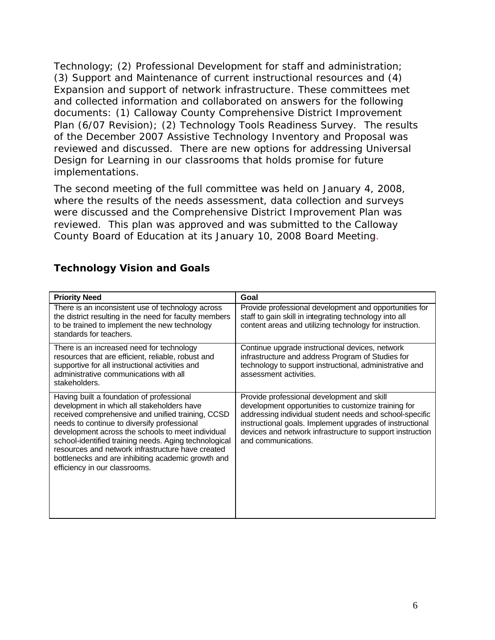Technology; (2) Professional Development for staff and administration; (3) Support and Maintenance of current instructional resources and (4) Expansion and support of network infrastructure. These committees met and collected information and collaborated on answers for the following documents: (1) Calloway County Comprehensive District Improvement Plan (6/07 Revision); (2) Technology Tools Readiness Survey. The results of the December 2007 Assistive Technology Inventory and Proposal was reviewed and discussed. There are new options for addressing Universal Design for Learning in our classrooms that holds promise for future implementations.

The second meeting of the full committee was held on January 4, 2008, where the results of the needs assessment, data collection and surveys were discussed and the Comprehensive District Improvement Plan was reviewed. This plan was approved and was submitted to the Calloway County Board of Education at its January 10, 2008 Board Meeting.

| <b>Priority Need</b>                                                                                                                                                                                                                                                                                                                                                                                                                                  | Goal                                                                                                                                                                                                                                                                                                         |
|-------------------------------------------------------------------------------------------------------------------------------------------------------------------------------------------------------------------------------------------------------------------------------------------------------------------------------------------------------------------------------------------------------------------------------------------------------|--------------------------------------------------------------------------------------------------------------------------------------------------------------------------------------------------------------------------------------------------------------------------------------------------------------|
| There is an inconsistent use of technology across<br>the district resulting in the need for faculty members<br>to be trained to implement the new technology<br>standards for teachers.                                                                                                                                                                                                                                                               | Provide professional development and opportunities for<br>staff to gain skill in integrating technology into all<br>content areas and utilizing technology for instruction.                                                                                                                                  |
| There is an increased need for technology<br>resources that are efficient, reliable, robust and<br>supportive for all instructional activities and<br>administrative communications with all<br>stakeholders.                                                                                                                                                                                                                                         | Continue upgrade instructional devices, network<br>infrastructure and address Program of Studies for<br>technology to support instructional, administrative and<br>assessment activities.                                                                                                                    |
| Having built a foundation of professional<br>development in which all stakeholders have<br>received comprehensive and unified training, CCSD<br>needs to continue to diversify professional<br>development across the schools to meet individual<br>school-identified training needs. Aging technological<br>resources and network infrastructure have created<br>bottlenecks and are inhibiting academic growth and<br>efficiency in our classrooms. | Provide professional development and skill<br>development opportunities to customize training for<br>addressing individual student needs and school-specific<br>instructional goals. Implement upgrades of instructional<br>devices and network infrastructure to support instruction<br>and communications. |

#### **Technology Vision and Goals**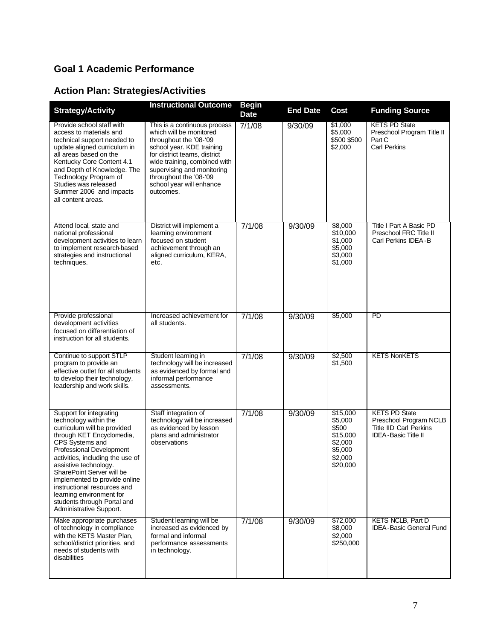### **Goal 1 Academic Performance**

## **Action Plan: Strategies/Activities**

| <b>Strategy/Activity</b>                                                                                                                                                                                                                                                                                                                                                                                    | <b>Instructional Outcome</b>                                                                                                                                                                                                                                                    | <b>Begin</b><br><b>Date</b> | <b>End Date</b> | <b>Cost</b>                                                                           | <b>Funding Source</b>                                                                                         |
|-------------------------------------------------------------------------------------------------------------------------------------------------------------------------------------------------------------------------------------------------------------------------------------------------------------------------------------------------------------------------------------------------------------|---------------------------------------------------------------------------------------------------------------------------------------------------------------------------------------------------------------------------------------------------------------------------------|-----------------------------|-----------------|---------------------------------------------------------------------------------------|---------------------------------------------------------------------------------------------------------------|
| Provide school staff with<br>access to materials and<br>technical support needed to<br>update aligned curriculum in<br>all areas based on the<br>Kentucky Core Content 4.1<br>and Depth of Knowledge. The<br>Technology Program of<br>Studies was released<br>Summer 2006 and impacts<br>all content areas.                                                                                                 | This is a continuous process<br>which will be monitored<br>throughout the '08-'09<br>school year. KDE training<br>for district teams, district<br>wide training, combined with<br>supervising and monitoring<br>throughout the '08-'09<br>school year will enhance<br>outcomes. | 7/1/08                      | 9/30/09         | \$1,000<br>\$5,000<br>\$500 \$500<br>\$2,000                                          | <b>KETS PD State</b><br>Preschool Program Title II<br>Part C<br><b>Carl Perkins</b>                           |
| Attend local, state and<br>national professional<br>development activities to learn<br>to implement research based<br>strategies and instructional<br>techniques.                                                                                                                                                                                                                                           | District will implement a<br>learning environment<br>focused on student<br>achievement through an<br>aligned curriculum, KERA,<br>etc.                                                                                                                                          | 7/1/08                      | 9/30/09         | \$8,000<br>\$10,000<br>\$1,000<br>\$5,000<br>\$3,000<br>\$1,000                       | <b>Title I Part A Basic PD</b><br>Preschool FRC Title II<br>Carl Perkins IDEA-B                               |
| Provide professional<br>development activities<br>focused on differentiation of<br>instruction for all students.                                                                                                                                                                                                                                                                                            | Increased achievement for<br>all students.                                                                                                                                                                                                                                      | 7/1/08                      | 9/30/09         | \$5,000                                                                               | PD                                                                                                            |
| Continue to support STLP<br>program to provide an<br>effective outlet for all students<br>to develop their technology,<br>leadership and work skills.                                                                                                                                                                                                                                                       | Student learning in<br>technology will be increased<br>as evidenced by formal and<br>informal performance<br>assessments.                                                                                                                                                       | 7/1/08                      | 9/30/09         | \$2,500<br>\$1,500                                                                    | <b>KETS NonKETS</b>                                                                                           |
| Support for integrating<br>technology within the<br>curriculum will be provided<br>through KET Encyclomedia,<br>CPS Systems and<br>Professional Development<br>activities, including the use of<br>assistive technology.<br>SharePoint Server will be<br>implemented to provide online<br>instructional resources and<br>learning environment for<br>students through Portal and<br>Administrative Support. | Staff integration of<br>technology will be increased<br>as evidenced by lesson<br>plans and administrator<br>observations                                                                                                                                                       | 7/1/08                      | 9/30/09         | \$15,000<br>\$5,000<br>\$500<br>\$15,000<br>\$2,000<br>\$5,000<br>\$2,000<br>\$20,000 | <b>KETS PD State</b><br>Preschool Program NCLB<br><b>Title IID Carl Perkins</b><br><b>IDEA-Basic Title II</b> |
| Make appropriate purchases<br>of technology in compliance<br>with the KETS Master Plan.<br>school/district priorities, and<br>needs of students with<br>disabilities                                                                                                                                                                                                                                        | Student learning will be<br>increased as evidenced by<br>formal and informal<br>performance assessments<br>in technology.                                                                                                                                                       | 7/1/08                      | 9/30/09         | \$72,000<br>\$8,000<br>\$2,000<br>\$250,000                                           | <b>KETS NCLB. Part D</b><br><b>IDEA-Basic General Fund</b>                                                    |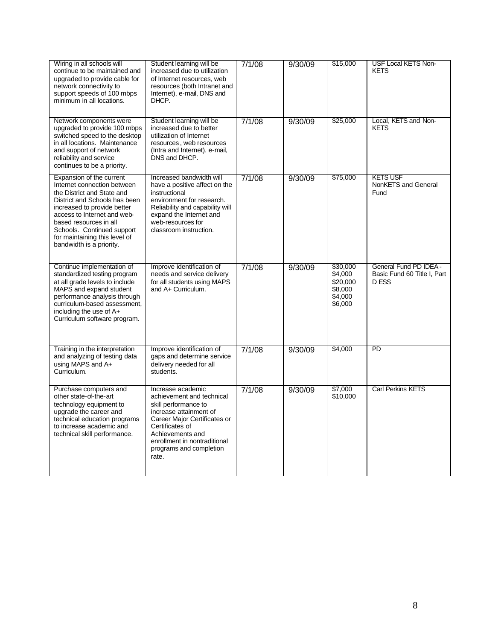| Wiring in all schools will<br>continue to be maintained and<br>upgraded to provide cable for<br>network connectivity to<br>support speeds of 100 mbps<br>minimum in all locations.                                                                                                                        | Student learning will be<br>increased due to utilization<br>of Internet resources, web<br>resources (both Intranet and<br>Internet), e-mail, DNS and<br>DHCP.                                                                               | 7/1/08 | 9/30/09 | \$15,000                                                         | <b>USF Local KETS Non-</b><br><b>KETS</b>                      |
|-----------------------------------------------------------------------------------------------------------------------------------------------------------------------------------------------------------------------------------------------------------------------------------------------------------|---------------------------------------------------------------------------------------------------------------------------------------------------------------------------------------------------------------------------------------------|--------|---------|------------------------------------------------------------------|----------------------------------------------------------------|
| Network components were<br>upgraded to provide 100 mbps<br>switched speed to the desktop<br>in all locations. Maintenance<br>and support of network<br>reliability and service<br>continues to be a priority.                                                                                             | Student learning will be<br>increased due to better<br>utilization of Internet<br>resources, web resources<br>(Intra and Internet), e-mail,<br>DNS and DHCP.                                                                                | 7/1/08 | 9/30/09 | \$25,000                                                         | Local, KETS and Non-<br><b>KETS</b>                            |
| Expansion of the current<br>Internet connection between<br>the District and State and<br>District and Schools has been<br>increased to provide better<br>access to Internet and web-<br>based resources in all<br>Schools. Continued support<br>for maintaining this level of<br>bandwidth is a priority. | Increased bandwidth will<br>have a positive affect on the<br>instructional<br>environment for research.<br>Reliability and capability will<br>expand the Internet and<br>web-resources for<br>classroom instruction.                        | 7/1/08 | 9/30/09 | \$75,000                                                         | <b>KETS USF</b><br>NonKETS and General<br>Fund                 |
| Continue implementation of<br>standardized testing program<br>at all grade levels to include<br>MAPS and expand student<br>performance analysis through<br>curriculum-based assessment,<br>including the use of A+<br>Curriculum software program.                                                        | Improve identification of<br>needs and service delivery<br>for all students using MAPS<br>and A+ Curriculum.                                                                                                                                | 7/1/08 | 9/30/09 | \$30,000<br>\$4,000<br>\$20,000<br>\$8,000<br>\$4,000<br>\$6,000 | General Fund PD IDEA -<br>Basic Fund 60 Title I, Part<br>D ESS |
| Training in the interpretation<br>and analyzing of testing data<br>using MAPS and A+<br>Curriculum.                                                                                                                                                                                                       | Improve identification of<br>gaps and determine service<br>delivery needed for all<br>students.                                                                                                                                             | 7/1/08 | 9/30/09 | \$4,000                                                          | $\overline{PD}$                                                |
| Purchase computers and<br>other state-of-the-art<br>technology equipment to<br>upgrade the career and<br>technical education programs<br>to increase academic and<br>technical skill performance.                                                                                                         | Increase academic<br>achievement and technical<br>skill performance to<br>increase attainment of<br>Career Major Certificates or<br>Certificates of<br>Achievements and<br>enrollment in nontraditional<br>programs and completion<br>rate. | 7/1/08 | 9/30/09 | \$7,000<br>\$10,000                                              | <b>Carl Perkins KETS</b>                                       |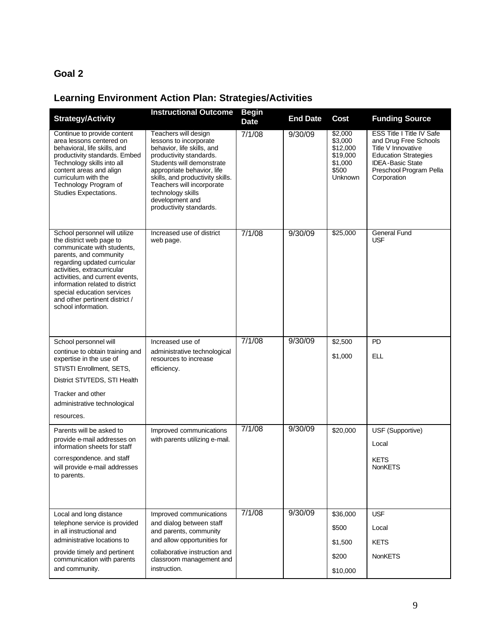#### **Goal 2**

## **Learning Environment Action Plan: Strategies/Activities**

| <b>Strategy/Activity</b>                                                                                                                                                                                                                                                                                                                      | <b>Instructional Outcome</b>                                                                                                                                                                                                                                                                           | <b>Begin</b><br><b>Date</b> | <b>End Date</b> | <b>Cost</b>                                                               | <b>Funding Source</b>                                                                                                                                                               |
|-----------------------------------------------------------------------------------------------------------------------------------------------------------------------------------------------------------------------------------------------------------------------------------------------------------------------------------------------|--------------------------------------------------------------------------------------------------------------------------------------------------------------------------------------------------------------------------------------------------------------------------------------------------------|-----------------------------|-----------------|---------------------------------------------------------------------------|-------------------------------------------------------------------------------------------------------------------------------------------------------------------------------------|
| Continue to provide content<br>area lessons centered on<br>behavioral, life skills, and<br>productivity standards. Embed<br>Technology skills into all<br>content areas and align<br>curriculum with the<br>Technology Program of<br>Studies Expectations.                                                                                    | Teachers will design<br>lessons to incorporate<br>behavior, life skills, and<br>productivity standards.<br>Students will demonstrate<br>appropriate behavior, life<br>skills, and productivity skills.<br>Teachers will incorporate<br>technology skills<br>development and<br>productivity standards. | 7/1/08                      | 9/30/09         | \$2,000<br>\$3,000<br>\$12,000<br>\$19,000<br>\$1,000<br>\$500<br>Unknown | <b>ESS Title I Title IV Safe</b><br>and Drug Free Schools<br>Title V Innovative<br><b>Education Strategies</b><br><b>IDEA-Basic State</b><br>Preschool Program Pella<br>Corporation |
| School personnel will utilize<br>the district web page to<br>communicate with students,<br>parents, and community<br>regarding updated curricular<br>activities, extracurricular<br>activities, and current events.<br>information related to district<br>special education services<br>and other pertinent district /<br>school information. | Increased use of district<br>web page.                                                                                                                                                                                                                                                                 | 7/1/08                      | 9/30/09         | \$25,000                                                                  | <b>General Fund</b><br><b>USF</b>                                                                                                                                                   |
| School personnel will                                                                                                                                                                                                                                                                                                                         | Increased use of                                                                                                                                                                                                                                                                                       | 7/1/08                      | 9/30/09         | \$2,500                                                                   | PD                                                                                                                                                                                  |
| continue to obtain training and<br>expertise in the use of                                                                                                                                                                                                                                                                                    | administrative technological<br>resources to increase                                                                                                                                                                                                                                                  |                             |                 | \$1,000                                                                   | <b>ELL</b>                                                                                                                                                                          |
| STI/STI Enrollment, SETS,                                                                                                                                                                                                                                                                                                                     | efficiency.                                                                                                                                                                                                                                                                                            |                             |                 |                                                                           |                                                                                                                                                                                     |
| District STI/TEDS, STI Health                                                                                                                                                                                                                                                                                                                 |                                                                                                                                                                                                                                                                                                        |                             |                 |                                                                           |                                                                                                                                                                                     |
| Tracker and other                                                                                                                                                                                                                                                                                                                             |                                                                                                                                                                                                                                                                                                        |                             |                 |                                                                           |                                                                                                                                                                                     |
| administrative technological                                                                                                                                                                                                                                                                                                                  |                                                                                                                                                                                                                                                                                                        |                             |                 |                                                                           |                                                                                                                                                                                     |
| resources.                                                                                                                                                                                                                                                                                                                                    |                                                                                                                                                                                                                                                                                                        |                             |                 |                                                                           |                                                                                                                                                                                     |
| Parents will be asked to                                                                                                                                                                                                                                                                                                                      | Improved communications                                                                                                                                                                                                                                                                                | 7/1/08                      | 9/30/09         | \$20,000                                                                  | USF (Supportive)                                                                                                                                                                    |
| provide e-mail addresses on<br>information sheets for staff                                                                                                                                                                                                                                                                                   | with parents utilizing e-mail.                                                                                                                                                                                                                                                                         |                             |                 |                                                                           | Local                                                                                                                                                                               |
| correspondence, and staff                                                                                                                                                                                                                                                                                                                     |                                                                                                                                                                                                                                                                                                        |                             |                 |                                                                           | <b>KETS</b>                                                                                                                                                                         |
| will provide e-mail addresses<br>to parents.                                                                                                                                                                                                                                                                                                  |                                                                                                                                                                                                                                                                                                        |                             |                 |                                                                           | <b>NonKETS</b>                                                                                                                                                                      |
|                                                                                                                                                                                                                                                                                                                                               |                                                                                                                                                                                                                                                                                                        |                             |                 |                                                                           |                                                                                                                                                                                     |
| Local and long distance                                                                                                                                                                                                                                                                                                                       | Improved communications                                                                                                                                                                                                                                                                                | 7/1/08                      | 9/30/09         | \$36,000                                                                  | <b>USF</b>                                                                                                                                                                          |
| telephone service is provided<br>in all instructional and                                                                                                                                                                                                                                                                                     | and dialog between staff<br>and parents, community                                                                                                                                                                                                                                                     |                             |                 | \$500                                                                     | Local                                                                                                                                                                               |
| administrative locations to                                                                                                                                                                                                                                                                                                                   | and allow opportunities for                                                                                                                                                                                                                                                                            |                             |                 | \$1,500                                                                   | <b>KETS</b>                                                                                                                                                                         |
| provide timely and pertinent<br>communication with parents                                                                                                                                                                                                                                                                                    | collaborative instruction and<br>classroom management and                                                                                                                                                                                                                                              |                             |                 | \$200                                                                     | <b>NonKETS</b>                                                                                                                                                                      |
| and community.                                                                                                                                                                                                                                                                                                                                | instruction.                                                                                                                                                                                                                                                                                           |                             |                 | \$10,000                                                                  |                                                                                                                                                                                     |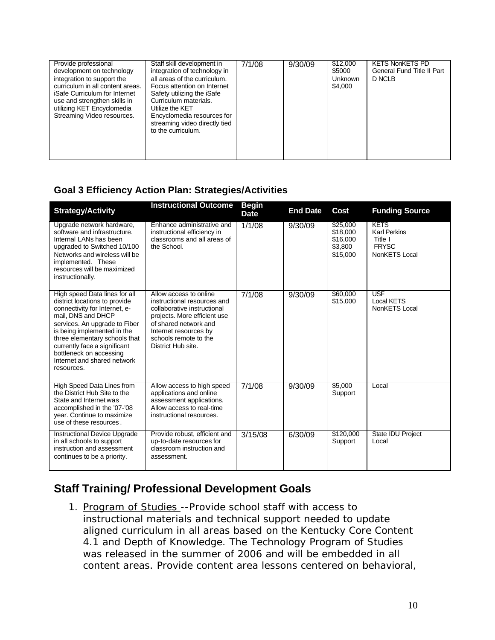| Provide professional<br>development on technology<br>integration to support the<br>curriculum in all content areas.<br>iSafe Curriculum for Internet<br>use and strengthen skills in<br>utilizing KET Encyclomedia<br>Streaming Video resources. | Staff skill development in<br>integration of technology in<br>all areas of the curriculum.<br>Focus attention on Internet<br>Safety utilizing the iSafe<br>Curriculum materials.<br>Utilize the KET<br>Encyclomedia resources for<br>streaming video directly tied<br>to the curriculum. | 7/1/08 | 9/30/09 | \$12,000<br>\$5000<br>Unknown<br>\$4,000 | <b>KETS NonKETS PD</b><br>General Fund Title II Part<br>D NCLB |
|--------------------------------------------------------------------------------------------------------------------------------------------------------------------------------------------------------------------------------------------------|------------------------------------------------------------------------------------------------------------------------------------------------------------------------------------------------------------------------------------------------------------------------------------------|--------|---------|------------------------------------------|----------------------------------------------------------------|

### **Goal 3 Efficiency Action Plan: Strategies/Activities**

| <b>Strategy/Activity</b>                                                                                                                                                                                                                                                                                                       | <b>Instructional Outcome</b>                                                                                                                                                                                          | <b>Begin</b><br><b>Date</b> | <b>End Date</b> | Cost                                                    | <b>Funding Source</b>                                                          |
|--------------------------------------------------------------------------------------------------------------------------------------------------------------------------------------------------------------------------------------------------------------------------------------------------------------------------------|-----------------------------------------------------------------------------------------------------------------------------------------------------------------------------------------------------------------------|-----------------------------|-----------------|---------------------------------------------------------|--------------------------------------------------------------------------------|
| Upgrade network hardware,<br>software and infrastructure.<br>Internal LANs has been<br>upgraded to Switched 10/100<br>Networks and wireless will be<br>implemented. These<br>resources will be maximized<br>instructionally.                                                                                                   | Enhance administrative and<br>instructional efficiency in<br>classrooms and all areas of<br>the School.                                                                                                               | 1/1/08                      | 9/30/09         | \$25,000<br>\$18,000<br>\$16,000<br>\$3,800<br>\$15,000 | <b>KETS</b><br><b>Karl Perkins</b><br>Title I<br><b>FRYSC</b><br>NonKETS Local |
| High speed Data lines for all<br>district locations to provide<br>connectivity for Internet, e-<br>mail, DNS and DHCP<br>services. An upgrade to Fiber<br>is being implemented in the<br>three elementary schools that<br>currently face a significant<br>bottleneck on accessing<br>Internet and shared network<br>resources. | Allow access to online<br>instructional resources and<br>collaborative instructional<br>projects. More efficient use<br>of shared network and<br>Internet resources by<br>schools remote to the<br>District Hub site. | 7/1/08                      | 9/30/09         | \$60,000<br>\$15,000                                    | <b>USF</b><br><b>Local KETS</b><br>NonKETS Local                               |
| <b>High Speed Data Lines from</b><br>the District Hub Site to the<br>State and Internet was<br>accomplished in the '07-'08<br>year. Continue to maximize<br>use of these resources.                                                                                                                                            | Allow access to high speed<br>applications and online<br>assessment applications.<br>Allow access to real-time<br>instructional resources.                                                                            | 7/1/08                      | 9/30/09         | \$5,000<br>Support                                      | Local                                                                          |
| Instructional Device Upgrade<br>in all schools to support<br>instruction and assessment<br>continues to be a priority.                                                                                                                                                                                                         | Provide robust, efficient and<br>up-to-date resources for<br>classroom instruction and<br>assessment.                                                                                                                 | 3/15/08                     | 6/30/09         | \$120,000<br>Support                                    | State IDU Project<br>Local                                                     |

## **Staff Training/ Professional Development Goals**

1. Program of Studies --Provide school staff with access to instructional materials and technical support needed to update aligned curriculum in all areas based on the Kentucky Core Content 4.1 and Depth of Knowledge. The Technology Program of Studies was released in the summer of 2006 and will be embedded in all content areas. Provide content area lessons centered on behavioral,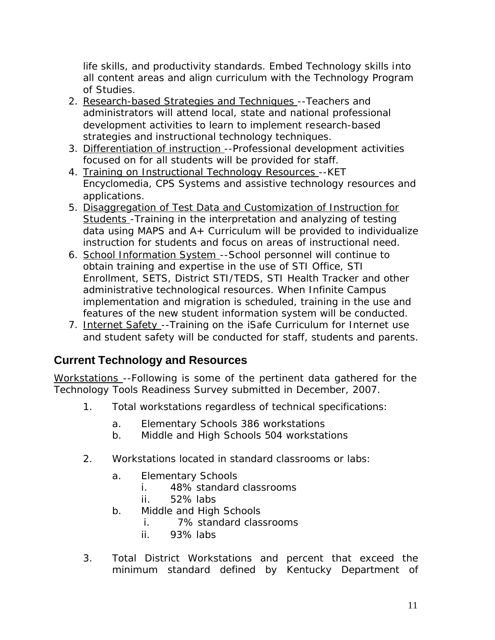life skills, and productivity standards. Embed Technology skills into all content areas and align curriculum with the Technology Program of Studies.

- 2. Research-based Strategies and Techniques -- Teachers and administrators will attend local, state and national professional development activities to learn to implement research-based strategies and instructional technology techniques.
- 3. Differentiation of instruction --Professional development activities focused on for all students will be provided for staff.
- 4. Training on Instructional Technology Resources --KET Encyclomedia, CPS Systems and assistive technology resources and applications.
- 5. Disaggregation of Test Data and Customization of Instruction for Students - Training in the interpretation and analyzing of testing data using MAPS and A+ Curriculum will be provided to individualize instruction for students and focus on areas of instructional need.
- 6. School Information System --School personnel will continue to obtain training and expertise in the use of STI Office, STI Enrollment, SETS, District STI/TEDS, STI Health Tracker and other administrative technological resources. When Infinite Campus implementation and migration is scheduled, training in the use and features of the new student information system will be conducted.
- 7. Internet Safety -- Training on the iSafe Curriculum for Internet use and student safety will be conducted for staff, students and parents.

### **Current Technology and Resources**

Workstations --Following is some of the pertinent data gathered for the Technology Tools Readiness Survey submitted in December, 2007.

- 1. Total workstations regardless of technical specifications:
	- a. Elementary Schools 386 workstations
	- b. Middle and High Schools 504 workstations
- 2. Workstations located in standard classrooms or labs:
	- a. Elementary Schools
		- i. 48% standard classrooms
		- ii. 52% labs
	- b. Middle and High Schools
		- i. 7% standard classrooms
		- ii. 93% labs
- 3. Total District Workstations and percent that exceed the minimum standard defined by Kentucky Department of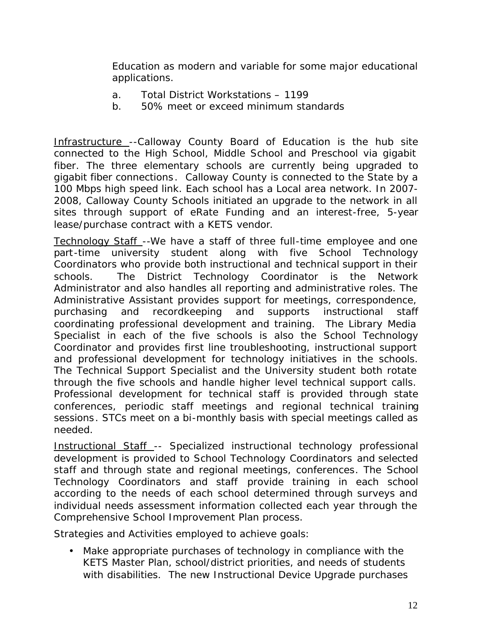Education as modern and variable for some major educational applications.

- a. Total District Workstations 1199
- b. 50% meet or exceed minimum standards

Infrastructure -- Calloway County Board of Education is the hub site connected to the High School, Middle School and Preschool via gigabit fiber. The three elementary schools are currently being upgraded to gigabit fiber connections. Calloway County is connected to the State by a 100 Mbps high speed link. Each school has a Local area network. In 2007- 2008, Calloway County Schools initiated an upgrade to the network in all sites through support of eRate Funding and an interest-free, 5-year lease/purchase contract with a KETS vendor.

Technology Staff --We have a staff of three full-time employee and one part-time university student along with five School Technology Coordinators who provide both instructional and technical support in their schools. The District Technology Coordinator is the Network Administrator and also handles all reporting and administrative roles. The Administrative Assistant provides support for meetings, correspondence, purchasing and recordkeeping and supports instructional staff coordinating professional development and training. The Library Media Specialist in each of the five schools is also the School Technology Coordinator and provides first line troubleshooting, instructional support and professional development for technology initiatives in the schools. The Technical Support Specialist and the University student both rotate through the five schools and handle higher level technical support calls. Professional development for technical staff is provided through state conferences, periodic staff meetings and regional technical training sessions. STCs meet on a bi-monthly basis with special meetings called as needed.

Instructional Staff -- Specialized instructional technology professional development is provided to School Technology Coordinators and selected staff and through state and regional meetings, conferences. The School Technology Coordinators and staff provide training in each school according to the needs of each school determined through surveys and individual needs assessment information collected each year through the Comprehensive School Improvement Plan process.

Strategies and Activities employed to achieve goals:

• Make appropriate purchases of technology in compliance with the KETS Master Plan, school/district priorities, and needs of students with disabilities. The new Instructional Device Upgrade purchases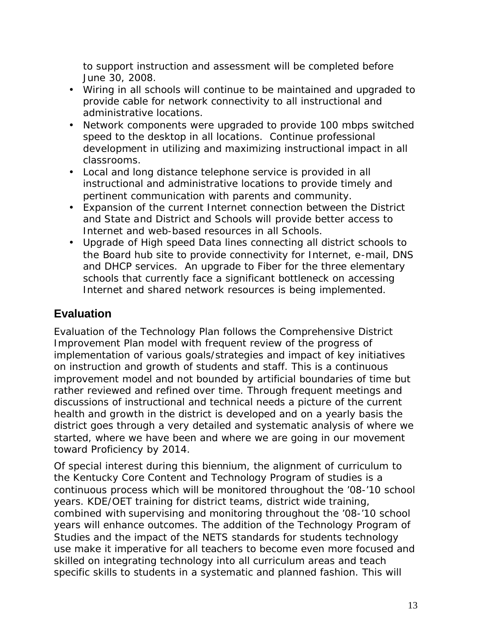to support instruction and assessment will be completed before June 30, 2008.

- Wiring in all schools will continue to be maintained and upgraded to provide cable for network connectivity to all instructional and administrative locations.
- Network components were upgraded to provide 100 mbps switched speed to the desktop in all locations. Continue professional development in utilizing and maximizing instructional impact in all classrooms.
- Local and long distance telephone service is provided in all instructional and administrative locations to provide timely and pertinent communication with parents and community.
- Expansion of the current Internet connection between the District and State and District and Schools will provide better access to Internet and web-based resources in all Schools.
- Upgrade of High speed Data lines connecting all district schools to the Board hub site to provide connectivity for Internet, e-mail, DNS and DHCP services. An upgrade to Fiber for the three elementary schools that currently face a significant bottleneck on accessing Internet and shared network resources is being implemented.

### **Evaluation**

Evaluation of the Technology Plan follows the Comprehensive District Improvement Plan model with frequent review of the progress of implementation of various goals/strategies and impact of key initiatives on instruction and growth of students and staff. This is a continuous improvement model and not bounded by artificial boundaries of time but rather reviewed and refined over time. Through frequent meetings and discussions of instructional and technical needs a picture of the current health and growth in the district is developed and on a yearly basis the district goes through a very detailed and systematic analysis of where we started, where we have been and where we are going in our movement toward Proficiency by 2014.

Of special interest during this biennium, the alignment of curriculum to the Kentucky Core Content and Technology Program of studies is a continuous process which will be monitored throughout the '08-'10 school years. KDE/OET training for district teams, district wide training, combined with supervising and monitoring throughout the '08-'10 school years will enhance outcomes. The addition of the Technology Program of Studies and the impact of the NETS standards for students technology use make it imperative for all teachers to become even more focused and skilled on integrating technology into all curriculum areas and teach specific skills to students in a systematic and planned fashion. This will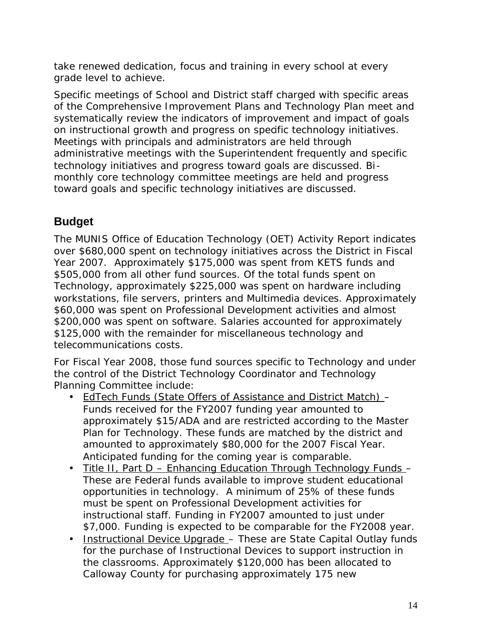take renewed dedication, focus and training in every school at every grade level to achieve.

Specific meetings of School and District staff charged with specific areas of the Comprehensive Improvement Plans and Technology Plan meet and systematically review the indicators of improvement and impact of goals on instructional growth and progress on specific technology initiatives. Meetings with principals and administrators are held through administrative meetings with the Superintendent frequently and specific technology initiatives and progress toward goals are discussed. Bi monthly core technology committee meetings are held and progress toward goals and specific technology initiatives are discussed.

### **Budget**

The MUNIS Office of Education Technology (OET) Activity Report indicates over \$680,000 spent on technology initiatives across the District in Fiscal Year 2007. Approximately \$175,000 was spent from KETS funds and \$505,000 from all other fund sources. Of the total funds spent on Technology, approximately \$225,000 was spent on hardware including workstations, file servers, printers and Multimedia devices. Approximately \$60,000 was spent on Professional Development activities and almost \$200,000 was spent on software. Salaries accounted for approximately \$125,000 with the remainder for miscellaneous technology and telecommunications costs.

For Fiscal Year 2008, those fund sources specific to Technology and under the control of the District Technology Coordinator and Technology Planning Committee include:

- EdTech Funds (State Offers of Assistance and District Match) Funds received for the FY2007 funding year amounted to approximately \$15/ADA and are restricted according to the Master Plan for Technology. These funds are matched by the district and amounted to approximately \$80,000 for the 2007 Fiscal Year. Anticipated funding for the coming year is comparable.
- Title II, Part D Enhancing Education Through Technology Funds These are Federal funds available to improve student educational opportunities in technology. A minimum of 25% of these funds must be spent on Professional Development activities for instructional staff. Funding in FY2007 amounted to just under \$7,000. Funding is expected to be comparable for the FY2008 year.
- Instructional Device Upgrade These are State Capital Outlay funds for the purchase of Instructional Devices to support instruction in the classrooms. Approximately \$120,000 has been allocated to Calloway County for purchasing approximately 175 new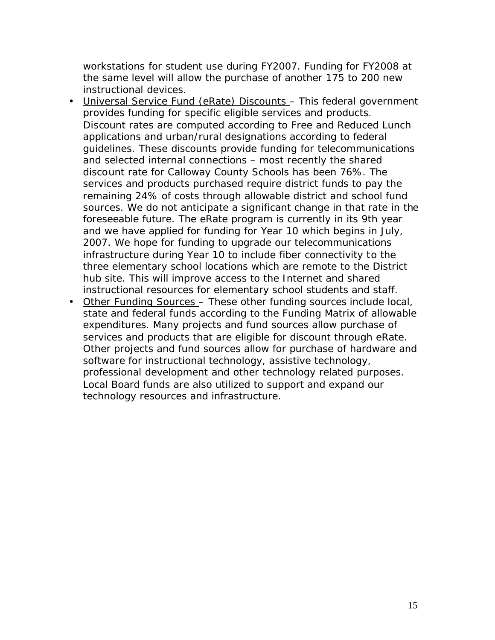workstations for student use during FY2007. Funding for FY2008 at the same level will allow the purchase of another 175 to 200 new instructional devices.

- Universal Service Fund (eRate) Discounts This federal government provides funding for specific eligible services and products. Discount rates are computed according to Free and Reduced Lunch applications and urban/rural designations according to federal guidelines. These discounts provide funding for telecommunications and selected internal connections – most recently the shared discount rate for Calloway County Schools has been 76%. The services and products purchased require district funds to pay the remaining 24% of costs through allowable district and school fund sources. We do not anticipate a significant change in that rate in the foreseeable future. The eRate program is currently in its 9th year and we have applied for funding for Year 10 which begins in July, 2007. We hope for funding to upgrade our telecommunications infrastructure during Year 10 to include fiber connectivity to the three elementary school locations which are remote to the District hub site. This will improve access to the Internet and shared instructional resources for elementary school students and staff.
- Other Funding Sources These other funding sources include local, state and federal funds according to the Funding Matrix of allowable expenditures. Many projects and fund sources allow purchase of services and products that are eligible for discount through eRate. Other projects and fund sources allow for purchase of hardware and software for instructional technology, assistive technology, professional development and other technology related purposes. Local Board funds are also utilized to support and expand our technology resources and infrastructure.